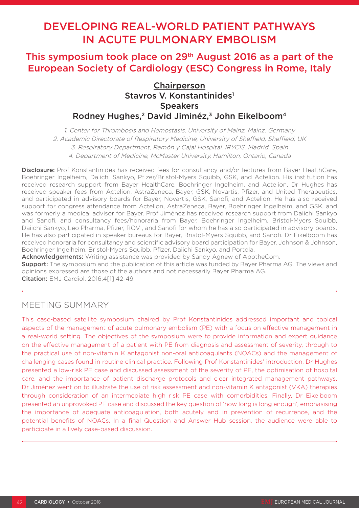# DEVELOPING REAL-WORLD PATIENT PATHWAYS IN ACUTE PULMONARY EMBOLISM

# This symposium took place on 29th August 2016 as a part of the European Society of Cardiology (ESC) Congress in Rome, Italy

## Chairperson Stavros V. Konstantinides<sup>1</sup> **Speakers** Rodney Hughes,<sup>2</sup> David Jiminéz,<sup>3</sup> John Eikelboom<sup>4</sup>

1. Center for Thrombosis and Hemostasis, University of Mainz, Mainz, Germany 2. Academic Directorate of Respiratory Medicine, University of Sheffield, Sheffield, UK 3. Respiratory Department, Ramón y Cajal Hospital, IRYCIS, Madrid, Spain 4. Department of Medicine, McMaster University, Hamilton, Ontario, Canada

Disclosure: Prof Konstantinides has received fees for consultancy and/or lectures from Bayer HealthCare, Boehringer Ingelheim, Daiichi Sankyo, Pfizer/Bristol-Myers Squibb, GSK, and Actelion. His institution has received research support from Bayer HealthCare, Boehringer Ingelheim, and Actelion. Dr Hughes has received speaker fees from Actelion, AstraZeneca, Bayer, GSK, Novartis, Pfizer, and United Therapeutics, and participated in advisory boards for Bayer, Novartis, GSK, Sanofi, and Actelion. He has also received support for congress attendance from Actelion, AstraZeneca, Bayer, Boehringer Ingelheim, and GSK, and was formerly a medical advisor for Bayer. Prof Jiménez has received research support from Daiichi Sankyo and Sanofi, and consultancy fees/honoraria from Bayer, Boehringer Ingelheim, Bristol-Myers Squibb, Daiichi Sankyo, Leo Pharma, Pfizer, ROVI, and Sanofi for whom he has also participated in advisory boards. He has also participated in speaker bureaus for Bayer, Bristol-Myers Squibb, and Sanofi. Dr Eikelboom has received honoraria for consultancy and scientific advisory board participation for Bayer, Johnson & Johnson, Boehringer Ingelheim, Bristol-Myers Squibb, Pfizer, Daiichi Sankyo, and Portola.

Acknowledgements: Writing assistance was provided by Sandy Agnew of ApotheCom.

**Support:** The symposium and the publication of this article was funded by Bayer Pharma AG. The views and opinions expressed are those of the authors and not necessarily Bayer Pharma AG.

Citation: EMJ Cardiol. 2016;4[1]:42-49.

# MEETING SUMMARY

This case-based satellite symposium chaired by Prof Konstantinides addressed important and topical aspects of the management of acute pulmonary embolism (PE) with a focus on effective management in a real-world setting. The objectives of the symposium were to provide information and expert guidance on the effective management of a patient with PE from diagnosis and assessment of severity, through to the practical use of non-vitamin K antagonist non-oral anticoagulants (NOACs) and the management of challenging cases found in routine clinical practice. Following Prof Konstantinides' introduction, Dr Hughes presented a low-risk PE case and discussed assessment of the severity of PE, the optimisation of hospital care, and the importance of patient discharge protocols and clear integrated management pathways. Dr Jiménez went on to illustrate the use of risk assessment and non-vitamin K antagonist (VKA) therapies through consideration of an intermediate high risk PE case with comorbidities. Finally, Dr Eikelboom presented an unprovoked PE case and discussed the key question of 'how long is long enough', emphasising the importance of adequate anticoagulation, both acutely and in prevention of recurrence, and the potential benefits of NOACs. In a final Question and Answer Hub session, the audience were able to participate in a lively case-based discussion.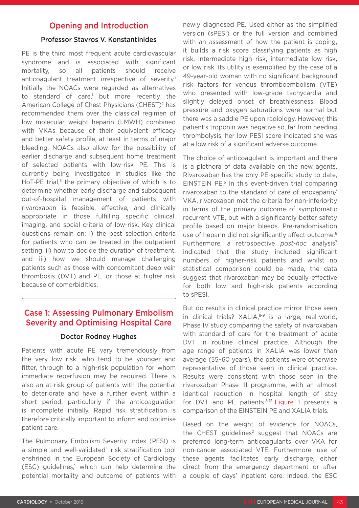### Opening and Introduction

#### Professor Stavros V. Konstantinides

PE is the third most frequent acute cardiovascular syndrome and is associated with significant mortality, so all patients should receive anticoagulant treatment irrespective of severity.<sup>1</sup> Initially the NOACs were regarded as alternatives to standard of care,<sup>1</sup> but more recently the American College of Chest Physicians (CHEST)<sup>2</sup> has recommended them over the classical regimen of low molecular weight heparin (LMWH) combined with VKAs because of their equivalent efficacy and better safety profile, at least in terms of major bleeding. NOACs also allow for the possibility of earlier discharge and subsequent home treatment of selected patients with low-risk PE. This is currently being investigated in studies like the HoT-PE trial, $3$  the primary objective of which is to determine whether early discharge and subsequent out-of-hospital management of patients with rivaroxaban is feasible, effective, and clinically appropriate in those fulfilling specific clinical, imaging, and social criteria of low-risk. Key clinical questions remain on: i) the best selection criteria for patients who can be treated in the outpatient setting, ii) how to decide the duration of treatment, and iii) how we should manage challenging patients such as those with concomitant deep vein thrombosis (DVT) and PE, or those at higher risk because of comorbidities.

## Case 1: Assessing Pulmonary Embolism Severity and Optimising Hospital Care

#### Doctor Rodney Hughes

Patients with acute PE vary tremendously from the very low risk, who tend to be younger and fitter, through to a high-risk population for whom immediate reperfusion may be required. There is also an at-risk group of patients with the potential to deteriorate and have a further event within a short period, particularly if the anticoagulation is incomplete initially. Rapid risk stratification is therefore critically important to inform and optimise patient care.

The Pulmonary Embolism Severity Index (PESI) is a simple and well-validated<sup>4</sup> risk stratification tool enshrined in the European Society of Cardiology  $(ESC)$  guidelines,<sup>1</sup> which can help determine the potential mortality and outcome of patients with

newly diagnosed PE. Used either as the simplified version (sPESI) or the full version and combined with an assessment of how the patient is coping, it builds a risk score classifying patients as high risk, intermediate high risk, intermediate low risk, or low risk. Its utility is exemplified by the case of a 49-year-old woman with no significant background risk factors for venous thromboembolism (VTE) who presented with low-grade tachycardia and slightly delayed onset of breathlessness. Blood pressure and oxygen saturations were normal but there was a saddle PE upon radiology. However, this patient's troponin was negative so, far from needing thrombolysis, her low PESI score indicated she was at a low risk of a significant adverse outcome.

The choice of anticoagulant is important and there is a plethora of data available on the new agents. Rivaroxaban has the only PE-specific study to date, EINSTEIN PE.<sup>5</sup> In this event-driven trial comparing rivaroxaban to the standard of care of enoxaparin/ VKA, rivaroxaban met the criteria for non-inferiority in terms of the primary outcome of symptomatic recurrent VTE, but with a significantly better safety profile based on major bleeds. Pre-randomisation use of heparin did not significantly affect outcome.<sup>6</sup> Furthermore, a retrospective *post-hoc* analysis7 indicated that the study included significant numbers of higher-risk patients and whilst no statistical comparison could be made, the data suggest that rivaroxaban may be equally effective for both low and high-risk patients according to sPESI.

But do results in clinical practice mirror those seen in clinical trials?  $XALIA<sup>8-9</sup>$  is a large, real-world, Phase IV study comparing the safety of rivaroxaban with standard of care for the treatment of acute DVT in routine clinical practice. Although the age range of patients in XALIA was lower than average (55–60 years), the patients were otherwise representative of those seen in clinical practice. Results were consistent with those seen in the rivaroxaban Phase III programme, with an almost identical reduction in hospital length of stay for DVT and PE patients.<sup>8-12</sup> Figure 1 presents a comparison of the EINSTEIN PE and XALIA trials.

Based on the weight of evidence for NOACs, the CHEST guidelines<sup>2</sup> suggest that NOACs are preferred long-term anticoagulants over VKA for non-cancer associated VTE. Furthermore, use of these agents facilitates early discharge, either direct from the emergency department or after a couple of days' inpatient care. Indeed, the ESC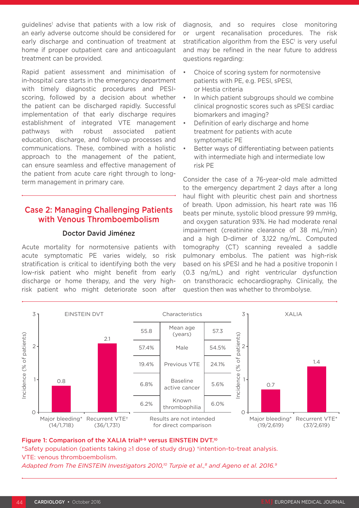guidelines<sup>1</sup> advise that patients with a low risk of an early adverse outcome should be considered for early discharge and continuation of treatment at home if proper outpatient care and anticoagulant treatment can be provided.

Rapid patient assessment and minimisation of in-hospital care starts in the emergency department with timely diagnostic procedures and PESIscoring, followed by a decision about whether the patient can be discharged rapidly. Successful implementation of that early discharge requires establishment of integrated VTE management pathways with robust associated patient education, discharge, and follow-up processes and communications. These, combined with a holistic approach to the management of the patient, can ensure seamless and effective management of the patient from acute care right through to longterm management in primary care.

## Case 2: Managing Challenging Patients with Venous Thromboembolism

#### Doctor David Jiménez

Acute mortality for normotensive patients with acute symptomatic PE varies widely, so risk stratification is critical to identifying both the very low-risk patient who might benefit from early discharge or home therapy, and the very highrisk patient who might deteriorate soon after

diagnosis, and so requires close monitoring or urgent recanalisation procedures. The risk stratification algorithm from the  $\mathsf{ESC}^1$  is very useful and may be refined in the near future to address questions regarding:

- Choice of scoring system for normotensive patients with PE, e.g. PESI, sPESI, or Hestia criteria
- In which patient subgroups should we combine clinical prognostic scores such as sPESI cardiac biomarkers and imaging?
- Definition of early discharge and home treatment for patients with acute symptomatic PE
- Better ways of differentiating between patients with intermediate high and intermediate low risk PE

Consider the case of a 76-year-old male admitted to the emergency department 2 days after a long haul flight with pleuritic chest pain and shortness of breath. Upon admission, his heart rate was 116 beats per minute, systolic blood pressure 99 mmHg, and oxygen saturation 93%. He had moderate renal impairment (creatinine clearance of 38 mL/min) and a high D-dimer of 3,122 ng/mL. Computed tomography (CT) scanning revealed a saddle pulmonary embolus. The patient was high-risk based on his sPESI and he had a positive troponin I (0.3 ng/mL) and right ventricular dysfunction on transthoracic echocardiography. Clinically, the question then was whether to thrombolyse.



#### Figure 1: Comparison of the XALIA trial<sup>8-9</sup> versus EINSTEIN DVT.<sup>10</sup>

\*Safety population (patients taking ≥1 dose of study drug) †intention-to-treat analysis. VTE: venous thromboembolism.

Adapted from The EINSTEIN Investigators 2010,<sup>10</sup> Turpie et al.,<sup>8</sup> and Ageno et al. 2016.<sup>9</sup>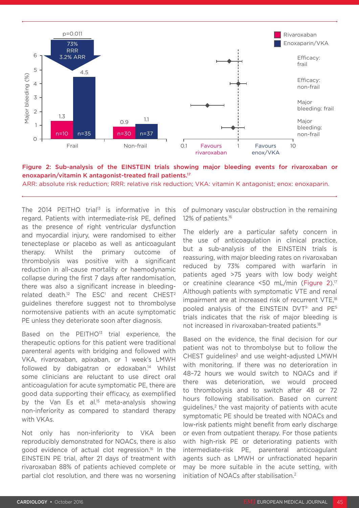



ARR: absolute risk reduction; RRR: relative risk reduction; VKA: vitamin K antagonist; enox: enoxaparin.

The 2014 PEITHO trial<sup>13</sup> is informative in this regard. Patients with intermediate-risk PE, defined as the presence of right ventricular dysfunction and myocardial injury, were randomised to either tenecteplase or placebo as well as anticoagulant therapy. Whilst the primary outcome of thrombolysis was positive with a significant reduction in all-cause mortality or haemodynamic collapse during the first 7 days after randomisation, there was also a significant increase in bleeding $related$  death.<sup>12</sup> The ESC<sup>1</sup> and recent CHEST<sup>2</sup> guidelines therefore suggest not to thrombolyse normotensive patients with an acute symptomatic PE unless they deteriorate soon after diagnosis.

Based on the PEITHO<sup>13</sup> trial experience, the therapeutic options for this patient were traditional parenteral agents with bridging and followed with VKA, rivaroxaban, apixaban, or 1 week's LMWH followed by dabigatran or edoxaban.<sup>14</sup> Whilst some clinicians are reluctant to use direct oral anticoagulation for acute symptomatic PE, there are good data supporting their efficacy, as exemplified by the Van Es et al.<sup>15</sup> meta-analysis showing non-inferiority as compared to standard therapy with VKAs.

Not only has non-inferiority to VKA been reproducibly demonstrated for NOACs, there is also good evidence of actual clot regression.16 In the EINSTEIN PE trial, after 21 days of treatment with rivaroxaban 88% of patients achieved complete or partial clot resolution, and there was no worsening

of pulmonary vascular obstruction in the remaining 12% of patients.<sup>16</sup>

The elderly are a particular safety concern in the use of anticoagulation in clinical practice, but a sub-analysis of the EINSTEIN trials is reassuring, with major bleeding rates on rivaroxaban reduced by 73% compared with warfarin in patients aged >75 years with low body weight or creatinine clearance <50 mL/min (Figure 2).17 Although patients with symptomatic VTE and renal impairment are at increased risk of recurrent VTE,<sup>18</sup> pooled analysis of the EINSTEIN DVT<sup>9</sup> and PE<sup>5</sup> trials indicates that the risk of major bleeding is not increased in rivaroxaban-treated patients.18

Based on the evidence, the final decision for our patient was not to thrombolyse but to follow the CHEST quidelines<sup>2</sup> and use weight-adjusted LMWH with monitoring. If there was no deterioration in 48–72 hours we would switch to NOACs and if there was deterioration, we would proceed to thrombolysis and to switch after 48 or 72 hours following stabilisation. Based on current guidelines,<sup>2</sup> the vast majority of patients with acute symptomatic PE should be treated with NOACs and low-risk patients might benefit from early discharge or even from outpatient therapy. For those patients with high-risk PE or deteriorating patients with intermediate-risk PE, parenteral anticoagulant agents such as LMWH or unfractionated heparin may be more suitable in the acute setting, with initiation of NOACs after stabilisation.<sup>2</sup>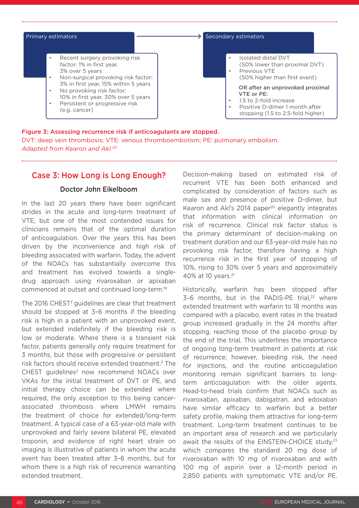

Figure 3: Assessing recurrence risk if anticoagulants are stopped. DVT: deep vein thrombosis; VTE: venous thromboembolism; PE: pulmonary embolism. *Adapted from Kearon and Akl.20*

## Case 3: How Long is Long Enough?

#### Doctor John Eikelboom

In the last 20 years there have been significant strides in the acute and long-term treatment of VTE, but one of the most contended issues for clinicians remains that of the optimal duration of anticoagulation. Over the years this has been driven by the inconvenience and high risk of bleeding associated with warfarin. Today, the advent of the NOACs has substantially overcome this and treatment has evolved towards a singledrug approach using rivaroxaban or apixaban commenced at outset and continued long-term.19

The 2016 CHEST<sup>2</sup> guidelines are clear that treatment should be stopped at 3–6 months if the bleeding risk is high in a patient with an unprovoked event, but extended indefinitely if the bleeding risk is low or moderate. Where there is a transient risk factor, patients generally only require treatment for 3 months, but those with progressive or persistent risk factors should receive extended treatment.2 The CHEST quidelines<sup>2</sup> now recommend NOACs over VKAs for the initial treatment of DVT or PE, and initial therapy choice can be extended where required, the only exception to this being cancerassociated thrombosis where LMWH remains the treatment of choice for extended/long-term treatment. A typical case of a 63-year-old male with unprovoked and fairly severe bilateral PE, elevated troponin, and evidence of right heart strain on imaging is illustrative of patients in whom the acute event has been treated after 3–6 months, but for whom there is a high risk of recurrence warranting extended treatment.

Decision-making based on estimated risk of recurrent VTE has been both enhanced and complicated by consideration of factors such as male sex and presence of positive D-dimer, but Kearon and Akl's 2014 paper $20$  elegantly integrates that information with clinical information on risk of recurrence. Clinical risk factor status is the primary determinant of decision-making on treatment duration and our 63-year-old male has no provoking risk factor, therefore having a high recurrence risk in the first year of stopping of 10%, rising to 30% over 5 years and approximately 40% at 10 years.21

Historically, warfarin has been stopped after 3-6 months, but in the PADIS-PE trial,<sup>22</sup> where extended treatment with warfarin to 18 months was compared with a placebo, event rates in the treated group increased gradually in the 24 months after stopping, reaching those of the placebo group by the end of the trial. This underlines the importance of ongoing long-term treatment in patients at risk of recurrence; however, bleeding risk, the need for injections, and the routine anticoagulation monitoring remain significant barriers to longterm anticoagulation with the older agents. Head-to-head trials confirm that NOACs such as rivaroxaban, apixaban, dabigatran, and edoxaban have similar efficacy to warfarin but a better safety profile, making them attractive for long-term treatment. Long-term treatment continues to be an important area of research and we particularly await the results of the EINSTEIN-CHOICE study, $23$ which compares the standard 20 mg dose of rivaroxaban with 10 mg of rivaroxaban and with 100 mg of aspirin over a 12-month period in 2,850 patients with symptomatic VTE and/or PE.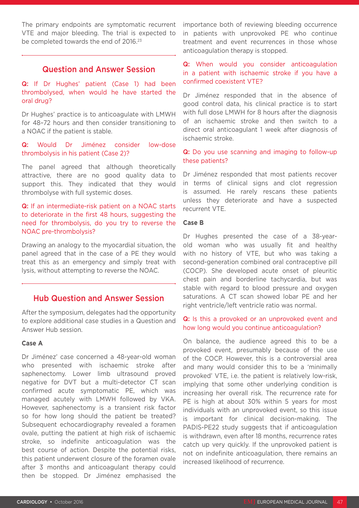The primary endpoints are symptomatic recurrent VTE and major bleeding. The trial is expected to be completed towards the end of 2016.<sup>23</sup>

### Question and Answer Session

Q: If Dr Hughes' patient (Case 1) had been thrombolysed, when would he have started the oral drug?

Dr Hughes' practice is to anticoagulate with LMWH for 48–72 hours and then consider transitioning to a NOAC if the patient is stable.

Q: Would Dr Jiménez consider low-dose thrombolysis in his patient (Case 2)?

The panel agreed that although theoretically attractive, there are no good quality data to support this. They indicated that they would thrombolyse with full systemic doses.

#### Q: If an intermediate-risk patient on a NOAC starts to deteriorate in the first 48 hours, suggesting the need for thrombolysis, do you try to reverse the NOAC pre-thrombolysis?

Drawing an analogy to the myocardial situation, the panel agreed that in the case of a PE they would treat this as an emergency and simply treat with lysis, without attempting to reverse the NOAC.

### Hub Question and Answer Session

After the symposium, delegates had the opportunity to explore additional case studies in a Question and Answer Hub session.

#### **Case A**

Dr Jiménez' case concerned a 48-year-old woman who presented with ischaemic stroke after saphenectomy. Lower limb ultrasound proved negative for DVT but a multi-detector CT scan confirmed acute symptomatic PE, which was managed acutely with LMWH followed by VKA. However, saphenectomy is a transient risk factor so for how long should the patient be treated? Subsequent echocardiography revealed a foramen ovale, putting the patient at high risk of ischaemic stroke, so indefinite anticoagulation was the best course of action. Despite the potential risks, this patient underwent closure of the foramen ovale after 3 months and anticoagulant therapy could then be stopped. Dr Jiménez emphasised the

importance both of reviewing bleeding occurrence in patients with unprovoked PE who continue treatment and event recurrences in those whose anticoagulation therapy is stopped.

### Q: When would you consider anticoagulation in a patient with ischaemic stroke if you have a confirmed coexistent VTE?

Dr Jiménez responded that in the absence of good control data, his clinical practice is to start with full dose LMWH for 8 hours after the diagnosis of an ischaemic stroke and then switch to a direct oral anticoagulant 1 week after diagnosis of ischaemic stroke.

### Q: Do you use scanning and imaging to follow-up these patients?

Dr Jiménez responded that most patients recover in terms of clinical signs and clot regression is assumed. He rarely rescans these patients unless they deteriorate and have a suspected recurrent VTE.

#### **Case B**

Dr Hughes presented the case of a 38-yearold woman who was usually fit and healthy with no history of VTE, but who was taking a second-generation combined oral contraceptive pill (COCP). She developed acute onset of pleuritic chest pain and borderline tachycardia, but was stable with regard to blood pressure and oxygen saturations. A CT scan showed lobar PE and her right ventricle/left ventricle ratio was normal.

#### Q: Is this a provoked or an unprovoked event and how long would you continue anticoagulation?

On balance, the audience agreed this to be a provoked event, presumably because of the use of the COCP. However, this is a controversial area and many would consider this to be a 'minimally provoked' VTE, i.e. the patient is relatively low-risk, implying that some other underlying condition is increasing her overall risk. The recurrence rate for PE is high at about 30% within 5 years for most individuals with an unprovoked event, so this issue is important for clinical decision-making. The PADIS-PE22 study suggests that if anticoagulation is withdrawn, even after 18 months, recurrence rates catch up very quickly. If the unprovoked patient is not on indefinite anticoagulation, there remains an increased likelihood of recurrence.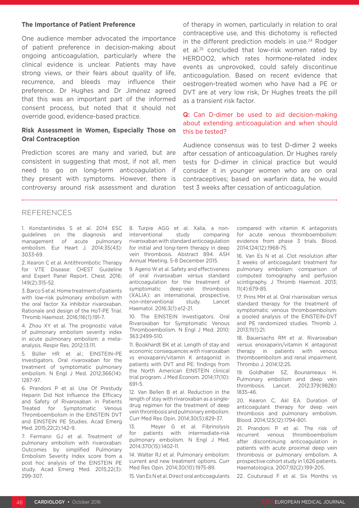#### **The Importance of Patient Preference**

One audience member advocated the importance of patient preference in decision-making about ongoing anticoagulation, particularly where the clinical evidence is unclear. Patients may have strong views, or their fears about quality of life, recurrence, and bleeds may influence their preference. Dr Hughes and Dr Jiménez agreed that this was an important part of the informed consent process, but noted that it should not override good, evidence-based practice.

#### **Risk Assessment in Women, Especially Those on Oral Contraception**

Prediction scores are many and varied, but are consistent in suggesting that most, if not all, men need to go on long-term anticoagulation if they present with symptoms. However, there is controversy around risk assessment and duration of therapy in women, particularly in relation to oral contraceptive use, and this dichotomy is reflected in the different prediction models in use.<sup>24</sup> Rodger et al.25 concluded that low-risk women rated by HERDOO2, which rates hormone-related index events as unprovoked, could safely discontinue anticoagulation. Based on recent evidence that oestrogen-treated women who have had a PE or DVT are at very low risk, Dr Hughes treats the pill as a transient risk factor.

#### Q: Can D-dimer be used to aid decision-making about extending anticoagulation and when should this be tested?

Audience consensus was to test D-dimer 2 weeks after cessation of anticoagulation. Dr Hughes rarely tests for D-dimer in clinical practice but would consider it in younger women who are on oral contraceptives; based on warfarin data, he would test 3 weeks after cessation of anticoagulation.

#### REFERENCES

1. Konstantinides S et al. 2014 ESC guidelines on the diagnosis and management of acute pulmonary embolism. Eur Heart J. 2014;35(43): 3033-69.

2. Kearon C et al. Antithrombotic Therapy for VTE Disease: CHEST Guideline and Expert Panel Report. Chest. 2016; 149(2):315-52.

3. Barco S et al. Home treatment of patients with low-risk pulmonary embolism with the oral factor Xa inhibitor rivaroxaban. Rationale and design of the HoT-PE Trial. Thromb Haemost. 2016;116(1):191-7.

4. Zhou XY et al. The prognostic value of pulmonary embolism severity index in acute pulmonary embolism: a metaanalysis. Respir Res. 2012;13:111.

5. Büller HR et al.; EINSTEIN–PE Investigators. Oral rivaroxaban for the treatment of symptomatic pulmonary embolism. N Engl J Med. 2012;366(14): 1287-97.

6. Prandoni P et al. Use Of Prestudy Heparin Did Not Influence the Efficacy and Safety of Rivaroxaban in Patients Treated for Symptomatic Venous Thromboembolism in the EINSTEIN DVT and EINSTEIN PE Studies. Acad Emerg Med. 2015;22(2):142-9.

7. Fermann GJ et al. Treatment of pulmonary embolism with rivaroxaban: Outcomes by simplified Pulmonary Embolism Severity Index score from a post hoc analysis of the EINSTEIN PE study. Acad Emerg Med. 2015;22(3): 299-307.

8. Turpie AGG et al. Xalia, a noninterventional study comparing rivaroxaban with standard anticoagulation for initial and long-term therapy in deep vein thrombosis. Abstract 894. ASH Annual Meeting, 5-8 December 2015.

9. Ageno W et al. Safety and effectiveness of oral rivaroxaban versus standard anticoagulation for the treatment of symptomatic deep-vein thrombosis (XALIA): an international, prospective, non-interventional study. Lancet Haematol. 2016;3(1):e12-21.

10. The EINSTEIN Investigators. Oral Rivaroxaban for Symptomatic Venous Thromboembolism. N Engl J Med. 2010; 363:2499-510.

11. Bookhardt BK et al. Length of stay and economic consequences with rivaroxaban vs enoxaparin/vitamin K antagonist in patients with DVT and PE: findings from the North American EINSTEIN clinical trial program. J Med Econom. 2014;17(10): 691-5.

12. Van Bellen B et al. Reduction in the length of stay with rivaroxaban as a singledrug regimen for the treatment of deep vein thrombosis and pulmonary embolism. Curr Med Res Opin. 2014;30(5):829-37.

13. Meyer G et al. Fibrinolysis for patients with intermediate-risk pulmonary embolism. N Engl J Med. 2014;370(15):1402-11.

14. Walter RJ et al. Pulmonary embolism: current and new treatment options. Curr Med Res Opin. 2014;30(10):1975-89.

15. Van Es N et al. Direct oral anticoagulants

compared with vitamin K antagonists for acute venous thromboembolism: evidence from phase 3 trials. Blood. 2014;124(12):1968-75.

16. Van Es N et al. Clot resolution after 3 weeks of anticoagulant treatment for pulmonary embolism: comparison of computed tomography and perfusion scintigraphy. J Thromb Haemost. 2013; 11(4):679-85.

17. Prins MH et al. Oral rivaroxaban versus standard therapy for the treatment of symptomatic venous thromboembolism: a pooled analysis of the EINSTEIN-DVT and PE randomized studies. Thromb J. 2013;11(1):21.

18. Bauersachs RM et al. Rivaroxaban versus enoxaparin/vitamin K antagonist therapy in patients with venous thromboembolism and renal impairment. Thrombo J. 2014;12:25.

19. Goldhaber SZ, Bounameaux H. Pulmonary embolism and deep vein thrombosis. Lancet. 2012;379(9828): 1835-46.

20. Kearon C, Akl EA. Duration of anticoagulant therapy for deep vein thrombosis and pulmonary embolism. Blood. 2014;123(12):1794-801.

21. Prandoni P et al. The risk of recurrent venous thromboembolism after discontinuing anticoagulation in patients with acute proximal deep vein thrombosis or pulmonary embolism. A prospective cohort study in 1,626 patients. Haematologica. 2007;92(2):199-205.

22. Couturaud F et al. Six Months vs